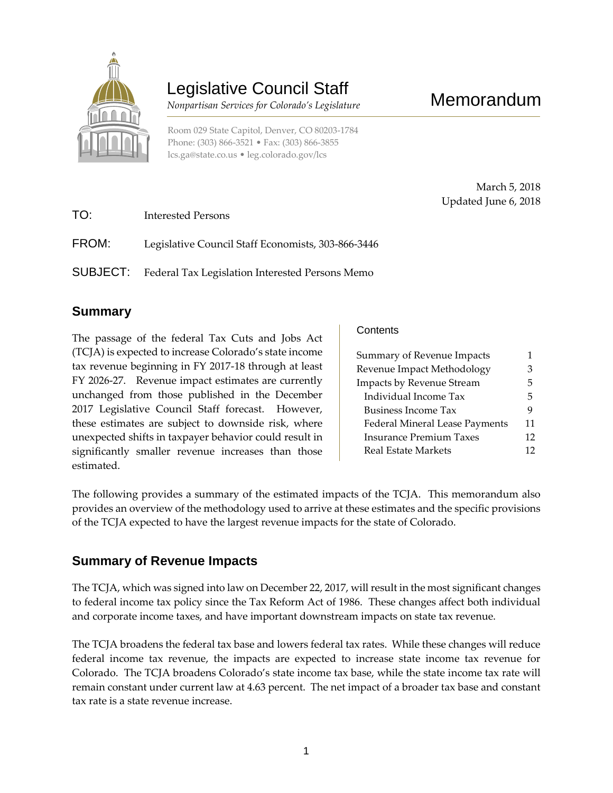

# Legislative Council Staff

 *Nonpartisan Services for Colorado's Legislature*

Room 029 State Capitol, Denver, CO 80203-1784 Phone: (303) 866-3521 • Fax: (303) 866-3855 [lcs.ga@state.co.us](mailto:lcs.ga@state.co.us) • [leg.colorado.gov/lcs](http://leg.colorado.gov/lcs)

Memorandum

March 5, 2018 Updated June 6, 2018

| TO:      | Interested Persons                                 |
|----------|----------------------------------------------------|
| FROM:    | Legislative Council Staff Economists, 303-866-3446 |
| SUBJECT: | Federal Tax Legislation Interested Persons Memo    |

# **Summary**

The passage of the federal Tax Cuts and Jobs Act (TCJA) is expected to increase Colorado's state income tax revenue beginning in FY 2017-18 through at least FY 2026-27. Revenue impact estimates are currently unchanged from those published in the December 2017 Legislative Council Staff forecast. However, these estimates are subject to downside risk, where unexpected shifts in taxpayer behavior could result in significantly smaller revenue increases than those estimated.

**Contents** 

| Summary of Revenue Impacts            | 1  |
|---------------------------------------|----|
| Revenue Impact Methodology            |    |
| Impacts by Revenue Stream             | 5  |
| Individual Income Tax                 | 5  |
| <b>Business Income Tax</b>            | 9  |
| <b>Federal Mineral Lease Payments</b> | 11 |
| <b>Insurance Premium Taxes</b>        | 12 |
| <b>Real Estate Markets</b>            | 12 |

The following provides a summary of the estimated impacts of the TCJA. This memorandum also provides an overview of the methodology used to arrive at these estimates and the specific provisions provides an overview of the methodology used to arrive at these estimates and the specific provisions of the TCJA expected to have the largest revenue impacts for the state of Colorado.

# **Summary of Revenue Impacts**

The TCJA, which was signed into law on December 22, 2017, will result in the most significant changes to federal income tax policy since the Tax Reform Act of 1986. These changes affect both individual and corporate income taxes, and have important downstream impacts on state tax revenue.

The TCJA broadens the federal tax base and lowers federal tax rates. While these changes will reduce federal income tax revenue, the impacts are expected to increase state income tax revenue for Colorado. The TCJA broadens Colorado's state income tax base, while the state income tax rate will remain constant under current law at 4.63 percent. The net impact of a broader tax base and constant tax rate is a state revenue increase.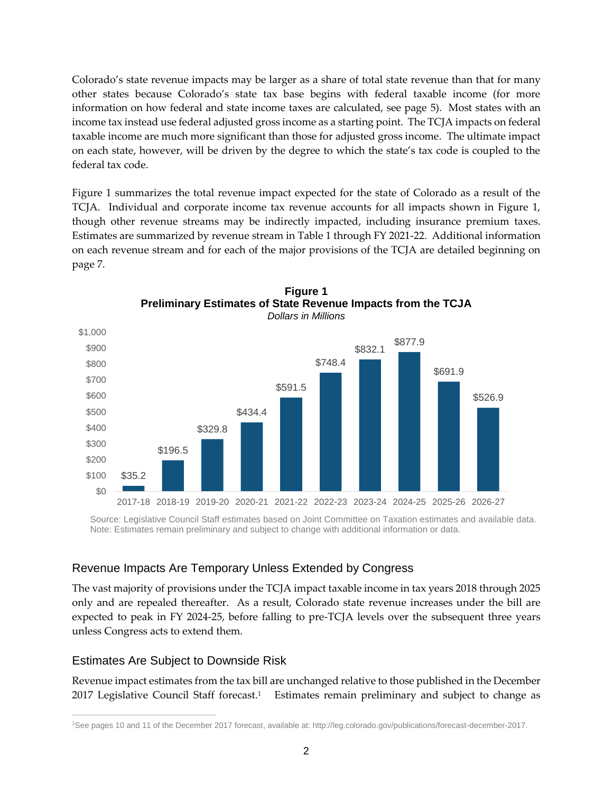Colorado's state revenue impacts may be larger as a share of total state revenue than that for many other states because Colorado's state tax base begins with federal taxable income (for more information on how federal and state income taxes are calculated, see page 5). Most states with an income tax instead use federal adjusted gross income as a starting point. The TCJA impacts on federal taxable income are much more significant than those for adjusted gross income. The ultimate impact on each state, however, will be driven by the degree to which the state's tax code is coupled to the federal tax code.

Figure 1 summarizes the total revenue impact expected for the state of Colorado as a result of the TCJA. Individual and corporate income tax revenue accounts for all impacts shown in Figure 1, though other revenue streams may be indirectly impacted, including insurance premium taxes. Estimates are summarized by revenue stream in Table 1 through FY 2021-22. Additional information on each revenue stream and for each of the major provisions of the TCJA are detailed beginning on page 7.



**Figure 1 Preliminary Estimates of State Revenue Impacts from the TCJA** *Dollars in Millions*

Source: Legislative Council Staff estimates based on Joint Committee on Taxation estimates and available data. Note: Estimates remain preliminary and subject to change with additional information or data.

#### Revenue Impacts Are Temporary Unless Extended by Congress

The vast majority of provisions under the TCJA impact taxable income in tax years 2018 through 2025 only and are repealed thereafter. As a result, Colorado state revenue increases under the bill are expected to peak in FY 2024-25, before falling to pre-TCJA levels over the subsequent three years unless Congress acts to extend them.

### Estimates Are Subject to Downside Risk

Revenue impact estimates from the tax bill are unchanged relative to those published in the December 2017 Legislative Council Staff forecast.<sup>1</sup> Estimates remain preliminary and subject to change as

 $\overline{a}$ <sup>1</sup>See pages 10 and 11 of the December 2017 forecast, available at: http://leg.colorado.gov/publications/forecast-december-2017.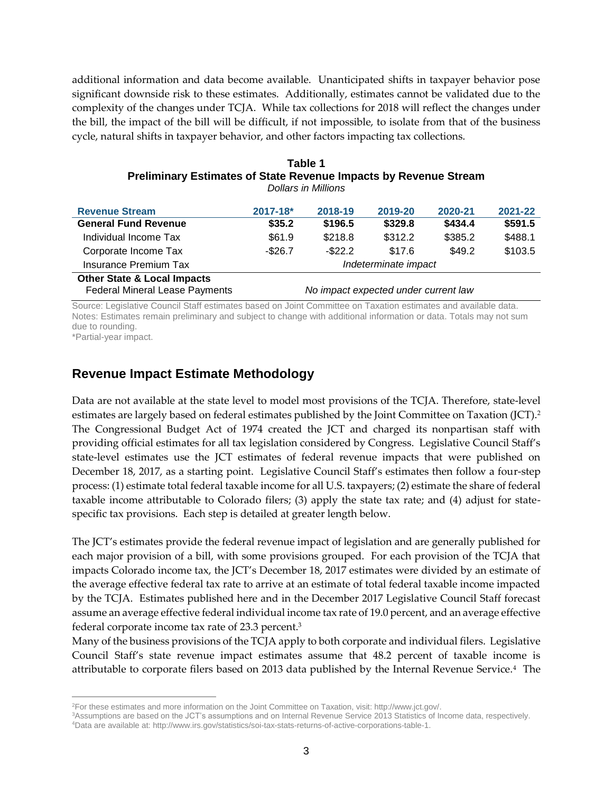additional information and data become available. Unanticipated shifts in taxpayer behavior pose significant downside risk to these estimates. Additionally, estimates cannot be validated due to the complexity of the changes under TCJA. While tax collections for 2018 will reflect the changes under the bill, the impact of the bill will be difficult, if not impossible, to isolate from that of the business cycle, natural shifts in taxpayer behavior, and other factors impacting tax collections.

| Table 1                                                                 |  |  |  |  |
|-------------------------------------------------------------------------|--|--|--|--|
| <b>Preliminary Estimates of State Revenue Impacts by Revenue Stream</b> |  |  |  |  |
| Dollars in Millions                                                     |  |  |  |  |

| <b>Revenue Stream</b>                  | $2017 - 18$ *                        | 2018-19    | 2019-20 | 2020-21 | 2021-22 |
|----------------------------------------|--------------------------------------|------------|---------|---------|---------|
| <b>General Fund Revenue</b>            | \$35.2                               | \$196.5    | \$329.8 | \$434.4 | \$591.5 |
| Individual Income Tax                  | \$61.9                               | \$218.8    | \$312.2 | \$385.2 | \$488.1 |
| Corporate Income Tax                   | $-$26.7$                             | $-$ \$22.2 | \$17.6  | \$49.2  | \$103.5 |
| <b>Insurance Premium Tax</b>           | Indeterminate impact                 |            |         |         |         |
| <b>Other State &amp; Local Impacts</b> |                                      |            |         |         |         |
| <b>Federal Mineral Lease Payments</b>  | No impact expected under current law |            |         |         |         |

Source: Legislative Council Staff estimates based on Joint Committee on Taxation estimates and available data. Notes: Estimates remain preliminary and subject to change with additional information or data. Totals may not sum due to rounding.

\*Partial-year impact.

## **Revenue Impact Estimate Methodology**

Data are not available at the state level to model most provisions of the TCJA. Therefore, state-level estimates are largely based on federal estimates published by the Joint Committee on Taxation (JCT).<sup>2</sup> The Congressional Budget Act of 1974 created the JCT and charged its nonpartisan staff with providing official estimates for all tax legislation considered by Congress. Legislative Council Staff's state-level estimates use the JCT estimates of federal revenue impacts that were published on December 18, 2017, as a starting point. Legislative Council Staff's estimates then follow a four-step process: (1) estimate total federal taxable income for all U.S. taxpayers; (2) estimate the share of federal taxable income attributable to Colorado filers; (3) apply the state tax rate; and (4) adjust for statespecific tax provisions. Each step is detailed at greater length below.

The JCT's estimates provide the federal revenue impact of legislation and are generally published for each major provision of a bill, with some provisions grouped. For each provision of the TCJA that impacts Colorado income tax, the JCT's December 18, 2017 estimates were divided by an estimate of the average effective federal tax rate to arrive at an estimate of total federal taxable income impacted by the TCJA. Estimates published here and in the December 2017 Legislative Council Staff forecast assume an average effective federal individual income tax rate of 19.0 percent, and an average effective federal corporate income tax rate of 23.3 percent.<sup>3</sup>

Many of the business provisions of the TCJA apply to both corporate and individual filers. Legislative Council Staff's state revenue impact estimates assume that 48.2 percent of taxable income is attributable to corporate filers based on 2013 data published by the Internal Revenue Service.<sup>4</sup> The

 $\overline{a}$ <sup>2</sup>For these estimates and more information on the Joint Committee on Taxation, visit: http://www.jct.gov/.

<sup>3</sup>Assumptions are based on the JCT's assumptions and on Internal Revenue Service 2013 Statistics of Income data, respectively.

<sup>4</sup>Data are available at[: http://www.irs.gov/statistics/soi-tax-stats-returns-of-active-corporations-table-1.](http://www.irs.gov/statistics/soi-tax-stats-returns-of-active-corporations-table-1)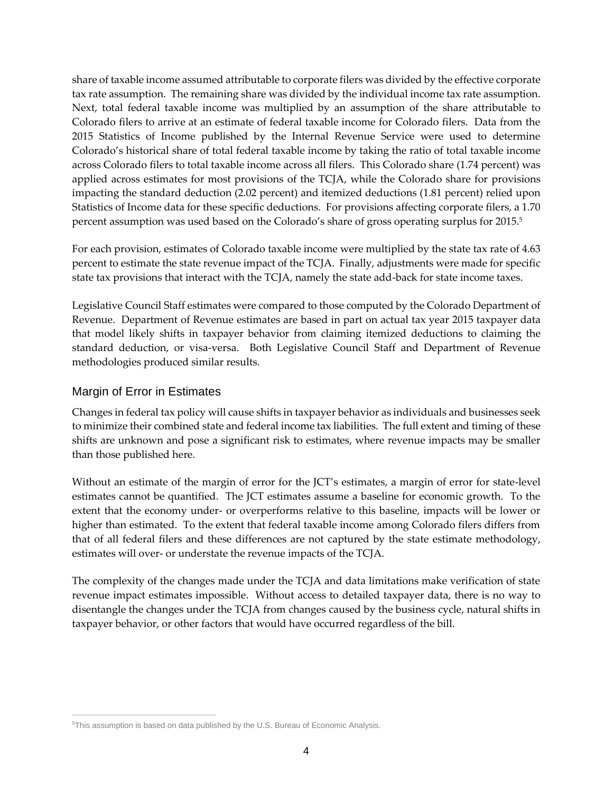share of taxable income assumed attributable to corporate filers was divided by the effective corporate tax rate assumption. The remaining share was divided by the individual income tax rate assumption. Next, total federal taxable income was multiplied by an assumption of the share attributable to Colorado filers to arrive at an estimate of federal taxable income for Colorado filers. Data from the 2015 Statistics of Income published by the Internal Revenue Service were used to determine Colorado's historical share of total federal taxable income by taking the ratio of total taxable income across Colorado filers to total taxable income across all filers. This Colorado share (1.74 percent) was applied across estimates for most provisions of the TCJA, while the Colorado share for provisions impacting the standard deduction (2.02 percent) and itemized deductions (1.81 percent) relied upon Statistics of Income data for these specific deductions. For provisions affecting corporate filers, a 1.70 percent assumption was used based on the Colorado's share of gross operating surplus for 2015.<sup>5</sup>

For each provision, estimates of Colorado taxable income were multiplied by the state tax rate of 4.63 percent to estimate the state revenue impact of the TCJA. Finally, adjustments were made for specific state tax provisions that interact with the TCJA, namely the state add-back for state income taxes.

Legislative Council Staff estimates were compared to those computed by the Colorado Department of Revenue. Department of Revenue estimates are based in part on actual tax year 2015 taxpayer data that model likely shifts in taxpayer behavior from claiming itemized deductions to claiming the standard deduction, or visa-versa. Both Legislative Council Staff and Department of Revenue methodologies produced similar results.

#### Margin of Error in Estimates

Changes in federal tax policy will cause shifts in taxpayer behavior as individuals and businesses seek to minimize their combined state and federal income tax liabilities. The full extent and timing of these shifts are unknown and pose a significant risk to estimates, where revenue impacts may be smaller than those published here.

Without an estimate of the margin of error for the JCT's estimates, a margin of error for state-level estimates cannot be quantified. The JCT estimates assume a baseline for economic growth. To the extent that the economy under- or overperforms relative to this baseline, impacts will be lower or higher than estimated. To the extent that federal taxable income among Colorado filers differs from that of all federal filers and these differences are not captured by the state estimate methodology, estimates will over- or understate the revenue impacts of the TCJA.

The complexity of the changes made under the TCJA and data limitations make verification of state revenue impact estimates impossible. Without access to detailed taxpayer data, there is no way to disentangle the changes under the TCJA from changes caused by the business cycle, natural shifts in taxpayer behavior, or other factors that would have occurred regardless of the bill.

 $\overline{a}$ 5This assumption is based on data published by the U.S. Bureau of Economic Analysis.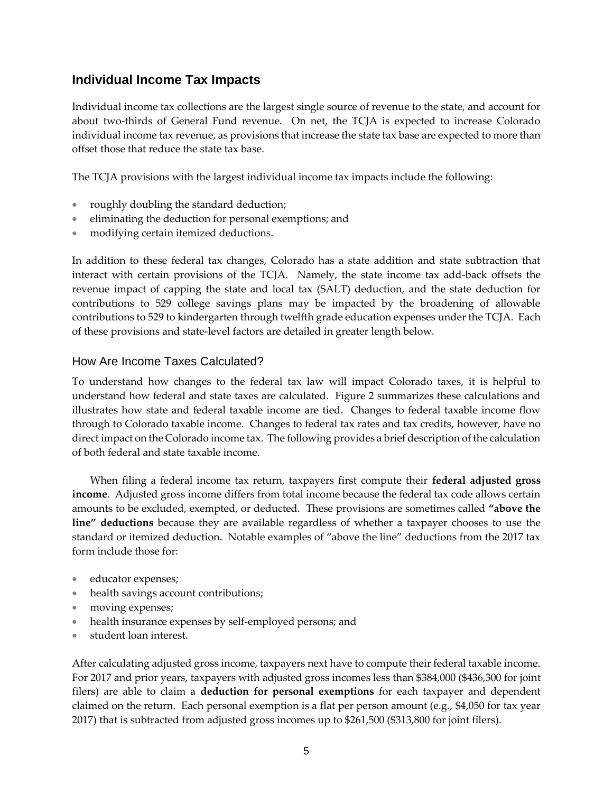## **Individual Income Tax Impacts**

Individual income tax collections are the largest single source of revenue to the state, and account for about two-thirds of General Fund revenue. On net, the TCJA is expected to increase Colorado individual income tax revenue, as provisions that increase the state tax base are expected to more than offset those that reduce the state tax base.

The TCJA provisions with the largest individual income tax impacts include the following:

- roughly doubling the standard deduction;
- eliminating the deduction for personal exemptions; and
- modifying certain itemized deductions.

In addition to these federal tax changes, Colorado has a state addition and state subtraction that interact with certain provisions of the TCJA. Namely, the state income tax add-back offsets the revenue impact of capping the state and local tax (SALT) deduction, and the state deduction for contributions to 529 college savings plans may be impacted by the broadening of allowable contributions to 529 to kindergarten through twelfth grade education expenses under the TCJA. Each of these provisions and state-level factors are detailed in greater length below.

#### How Are Income Taxes Calculated?

To understand how changes to the federal tax law will impact Colorado taxes, it is helpful to understand how federal and state taxes are calculated. Figure 2 summarizes these calculations and illustrates how state and federal taxable income are tied. Changes to federal taxable income flow through to Colorado taxable income. Changes to federal tax rates and tax credits, however, have no direct impact on the Colorado income tax. The following provides a brief description of the calculation of both federal and state taxable income.

When filing a federal income tax return, taxpayers first compute their **federal adjusted gross income**. Adjusted gross income differs from total income because the federal tax code allows certain amounts to be excluded, exempted, or deducted. These provisions are sometimes called **"above the line" deductions** because they are available regardless of whether a taxpayer chooses to use the standard or itemized deduction. Notable examples of "above the line" deductions from the 2017 tax form include those for:

- educator expenses;
- health savings account contributions;
- moving expenses;
- health insurance expenses by self-employed persons; and
- student loan interest.

After calculating adjusted gross income, taxpayers next have to compute their federal taxable income. For 2017 and prior years, taxpayers with adjusted gross incomes less than \$384,000 (\$436,300 for joint filers) are able to claim a **deduction for personal exemptions** for each taxpayer and dependent claimed on the return. Each personal exemption is a flat per person amount (e.g., \$4,050 for tax year 2017) that is subtracted from adjusted gross incomes up to \$261,500 (\$313,800 for joint filers).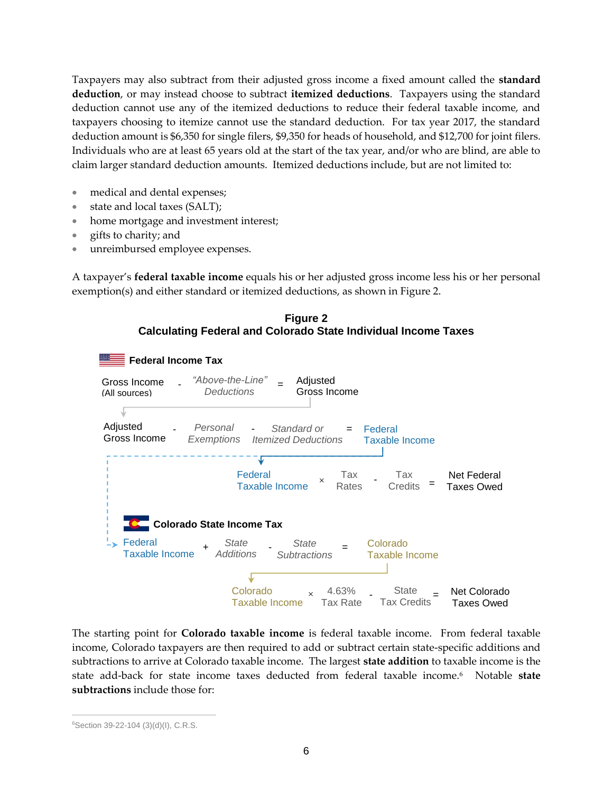Taxpayers may also subtract from their adjusted gross income a fixed amount called the **standard deduction**, or may instead choose to subtract **itemized deductions**. Taxpayers using the standard deduction cannot use any of the itemized deductions to reduce their federal taxable income, and taxpayers choosing to itemize cannot use the standard deduction. For tax year 2017, the standard deduction amount is \$6,350 for single filers, \$9,350 for heads of household, and \$12,700 for joint filers. Individuals who are at least 65 years old at the start of the tax year, and/or who are blind, are able to claim larger standard deduction amounts. Itemized deductions include, but are not limited to:

- medical and dental expenses;
- state and local taxes (SALT);
- home mortgage and investment interest;
- gifts to charity; and
- unreimbursed employee expenses.

A taxpayer's **federal taxable income** equals his or her adjusted gross income less his or her personal exemption(s) and either standard or itemized deductions, as shown in Figure 2.



The starting point for **Colorado taxable income** is federal taxable income. From federal taxable income, Colorado taxpayers are then required to add or subtract certain state-specific additions and subtractions to arrive at Colorado taxable income. The largest **state addition** to taxable income is the state add-back for state income taxes deducted from federal taxable income.<sup>6</sup> Notable **state subtractions** include those for:

 $\overline{a}$ <sup>6</sup>Section 39-22-104 (3)(d)(I), C.R.S.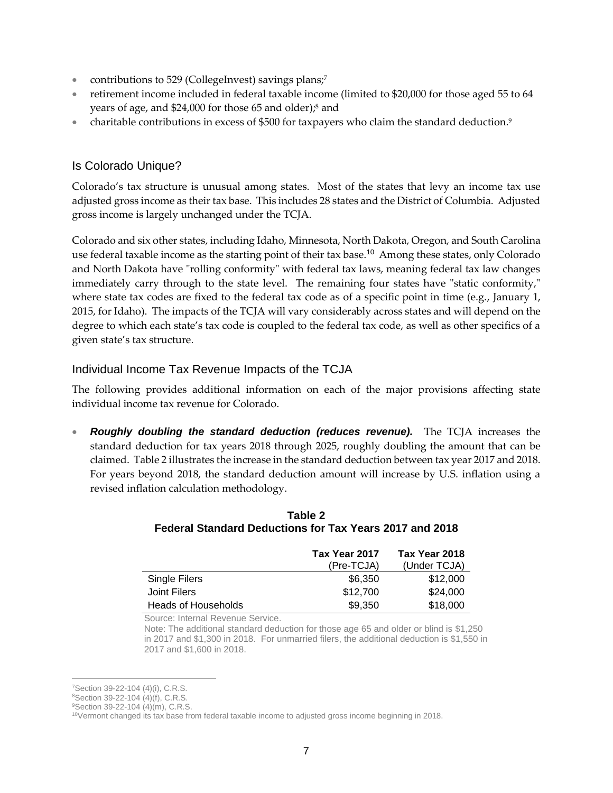- **contributions to 529 (CollegeInvest) savings plans;<sup>7</sup>**
- retirement income included in federal taxable income (limited to \$20,000 for those aged 55 to 64 years of age, and \$24,000 for those 65 and older);<sup>8</sup> and
- charitable contributions in excess of \$500 for taxpayers who claim the standard deduction.<sup>9</sup>

## Is Colorado Unique?

Colorado's tax structure is unusual among states. Most of the states that levy an income tax use adjusted gross income as their tax base. This includes 28 states and the District of Columbia. Adjusted gross income is largely unchanged under the TCJA.

Colorado and six other states, including Idaho, Minnesota, North Dakota, Oregon, and South Carolina use federal taxable income as the starting point of their tax base.<sup>10</sup> Among these states, only Colorado and North Dakota have "rolling conformity" with federal tax laws, meaning federal tax law changes immediately carry through to the state level. The remaining four states have "static conformity," where state tax codes are fixed to the federal tax code as of a specific point in time (e.g., January 1, 2015, for Idaho). The impacts of the TCJA will vary considerably across states and will depend on the degree to which each state's tax code is coupled to the federal tax code, as well as other specifics of a given state's tax structure.

#### Individual Income Tax Revenue Impacts of the TCJA

The following provides additional information on each of the major provisions affecting state individual income tax revenue for Colorado.

*Roughly doubling the standard deduction (reduces revenue).* The TCJA increases the standard deduction for tax years 2018 through 2025, roughly doubling the amount that can be claimed. Table 2 illustrates the increase in the standard deduction between tax year 2017 and 2018. For years beyond 2018, the standard deduction amount will increase by U.S. inflation using a revised inflation calculation methodology.

#### **Table 2 Federal Standard Deductions for Tax Years 2017 and 2018**

|                     | Tax Year 2017 | Tax Year 2018 |
|---------------------|---------------|---------------|
|                     | (Pre-TCJA)    | (Under TCJA)  |
| Single Filers       | \$6,350       | \$12,000      |
| Joint Filers        | \$12,700      | \$24,000      |
| Heads of Households | \$9,350       | \$18,000      |

Source: Internal Revenue Service.

Note: The additional standard deduction for those age 65 and older or blind is \$1,250 in 2017 and \$1,300 in 2018. For unmarried filers, the additional deduction is \$1,550 in 2017 and \$1,600 in 2018.

 $\overline{a}$ <sup>7</sup>Section 39-22-104 (4)(i), C.R.S.

<sup>8</sup>Section 39-22-104 (4)(f), C.R.S.

<sup>&</sup>lt;sup>9</sup>Section 39-22-104 (4)(m), C.R.S.

<sup>10</sup>Vermont changed its tax base from federal taxable income to adjusted gross income beginning in 2018.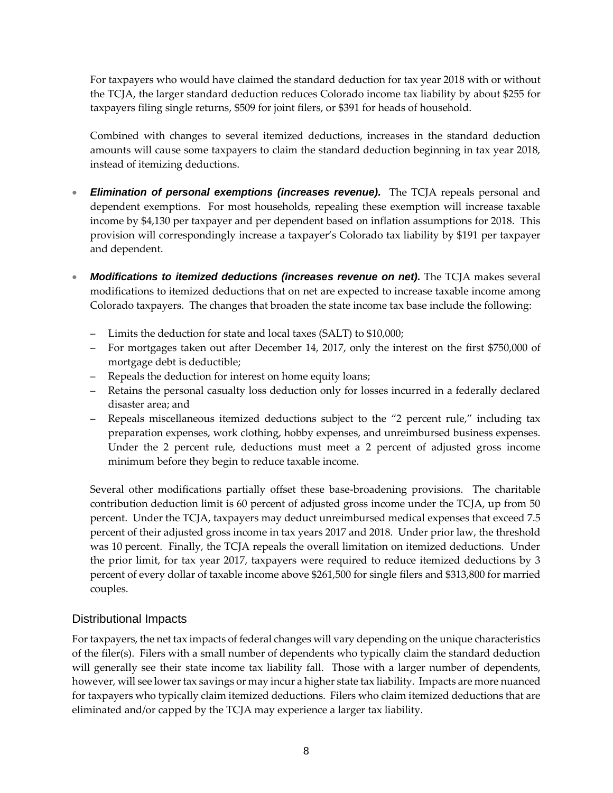For taxpayers who would have claimed the standard deduction for tax year 2018 with or without the TCJA, the larger standard deduction reduces Colorado income tax liability by about \$255 for taxpayers filing single returns, \$509 for joint filers, or \$391 for heads of household.

Combined with changes to several itemized deductions, increases in the standard deduction amounts will cause some taxpayers to claim the standard deduction beginning in tax year 2018, instead of itemizing deductions.

- *Elimination of personal exemptions (increases revenue).* The TCJA repeals personal and dependent exemptions. For most households, repealing these exemption will increase taxable income by \$4,130 per taxpayer and per dependent based on inflation assumptions for 2018. This provision will correspondingly increase a taxpayer's Colorado tax liability by \$191 per taxpayer and dependent.
- *Modifications to itemized deductions (increases revenue on net).* The TCJA makes several modifications to itemized deductions that on net are expected to increase taxable income among Colorado taxpayers. The changes that broaden the state income tax base include the following:
	- Limits the deduction for state and local taxes (SALT) to \$10,000;
	- For mortgages taken out after December 14, 2017, only the interest on the first \$750,000 of mortgage debt is deductible;
	- Repeals the deduction for interest on home equity loans;
	- Retains the personal casualty loss deduction only for losses incurred in a federally declared disaster area; and
	- Repeals miscellaneous itemized deductions subject to the "2 percent rule," including tax preparation expenses, work clothing, hobby expenses, and unreimbursed business expenses. Under the 2 percent rule, deductions must meet a 2 percent of adjusted gross income minimum before they begin to reduce taxable income.

Several other modifications partially offset these base-broadening provisions. The charitable contribution deduction limit is 60 percent of adjusted gross income under the TCJA, up from 50 percent. Under the TCJA, taxpayers may deduct unreimbursed medical expenses that exceed 7.5 percent of their adjusted gross income in tax years 2017 and 2018. Under prior law, the threshold was 10 percent. Finally, the TCJA repeals the overall limitation on itemized deductions. Under the prior limit, for tax year 2017, taxpayers were required to reduce itemized deductions by 3 percent of every dollar of taxable income above \$261,500 for single filers and \$313,800 for married couples.

### Distributional Impacts

For taxpayers, the net tax impacts of federal changes will vary depending on the unique characteristics of the filer(s). Filers with a small number of dependents who typically claim the standard deduction will generally see their state income tax liability fall. Those with a larger number of dependents, however, will see lower tax savings or may incur a higher state tax liability. Impacts are more nuanced for taxpayers who typically claim itemized deductions. Filers who claim itemized deductions that are eliminated and/or capped by the TCJA may experience a larger tax liability.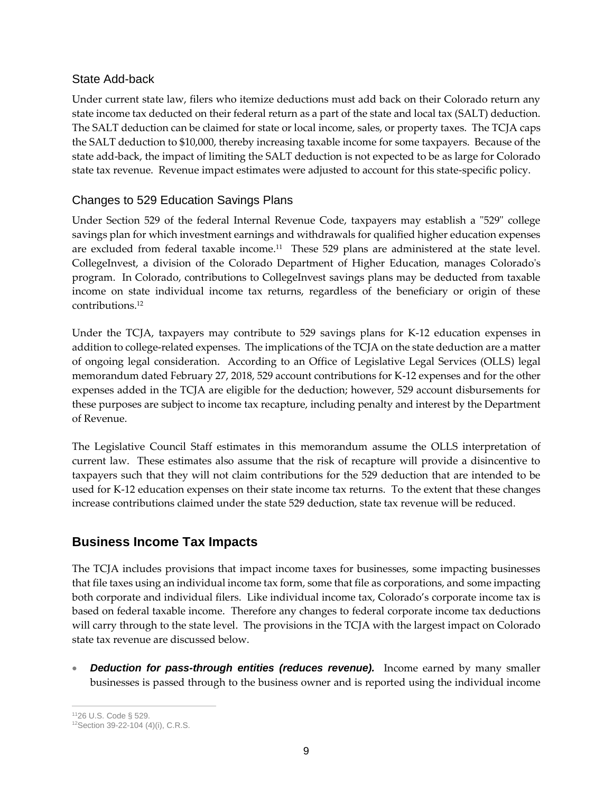#### State Add-back

Under current state law, filers who itemize deductions must add back on their Colorado return any state income tax deducted on their federal return as a part of the state and local tax (SALT) deduction. The SALT deduction can be claimed for state or local income, sales, or property taxes. The TCJA caps the SALT deduction to \$10,000, thereby increasing taxable income for some taxpayers. Because of the state add-back, the impact of limiting the SALT deduction is not expected to be as large for Colorado state tax revenue. Revenue impact estimates were adjusted to account for this state-specific policy.

## Changes to 529 Education Savings Plans

Under Section 529 of the federal Internal Revenue Code, taxpayers may establish a "529" college savings plan for which investment earnings and withdrawals for qualified higher education expenses are excluded from federal taxable income.<sup>11</sup> These 529 plans are administered at the state level. CollegeInvest, a division of the Colorado Department of Higher Education, manages Colorado's program. In Colorado, contributions to CollegeInvest savings plans may be deducted from taxable income on state individual income tax returns, regardless of the beneficiary or origin of these contributions.<sup>12</sup>

Under the TCJA, taxpayers may contribute to 529 savings plans for K-12 education expenses in addition to college-related expenses. The implications of the TCJA on the state deduction are a matter of ongoing legal consideration. According to an Office of Legislative Legal Services (OLLS) legal memorandum dated February 27, 2018, 529 account contributions for K-12 expenses and for the other expenses added in the TCJA are eligible for the deduction; however, 529 account disbursements for these purposes are subject to income tax recapture, including penalty and interest by the Department of Revenue.

The Legislative Council Staff estimates in this memorandum assume the OLLS interpretation of current law. These estimates also assume that the risk of recapture will provide a disincentive to taxpayers such that they will not claim contributions for the 529 deduction that are intended to be used for K-12 education expenses on their state income tax returns. To the extent that these changes increase contributions claimed under the state 529 deduction, state tax revenue will be reduced.

# **Business Income Tax Impacts**

The TCJA includes provisions that impact income taxes for businesses, some impacting businesses that file taxes using an individual income tax form, some that file as corporations, and some impacting both corporate and individual filers. Like individual income tax, Colorado's corporate income tax is based on federal taxable income. Therefore any changes to federal corporate income tax deductions will carry through to the state level. The provisions in the TCJA with the largest impact on Colorado state tax revenue are discussed below.

*Deduction for pass-through entities (reduces revenue).* Income earned by many smaller businesses is passed through to the business owner and is reported using the individual income

 $\overline{a}$ <sup>11</sup>26 U.S. Code § 529.

<sup>12</sup>Section 39-22-104 (4)(i), C.R.S.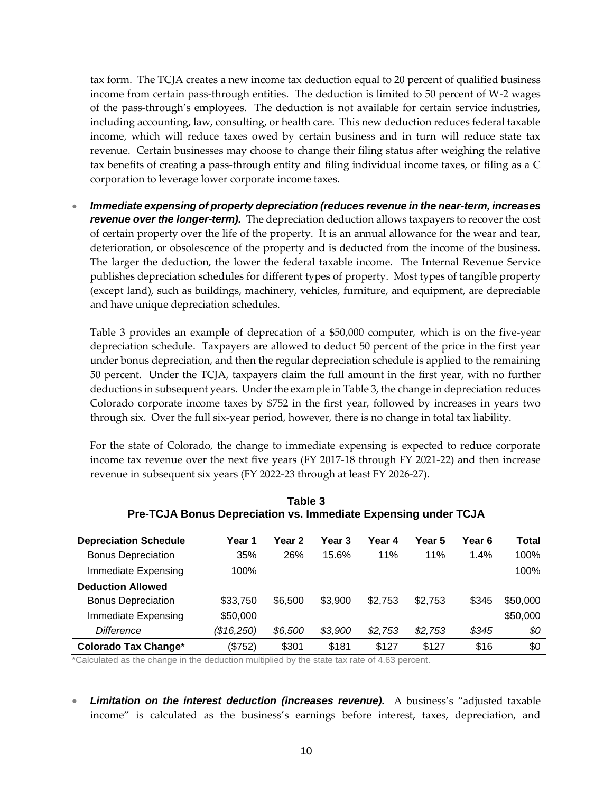tax form. The TCJA creates a new income tax deduction equal to 20 percent of qualified business income from certain pass-through entities. The deduction is limited to 50 percent of W-2 wages of the pass-through's employees. The deduction is not available for certain service industries, including accounting, law, consulting, or health care. This new deduction reduces federal taxable income, which will reduce taxes owed by certain business and in turn will reduce state tax revenue. Certain businesses may choose to change their filing status after weighing the relative tax benefits of creating a pass-through entity and filing individual income taxes, or filing as a C corporation to leverage lower corporate income taxes.

 *Immediate expensing of property depreciation (reduces revenue in the near-term, increases revenue over the longer-term).* The depreciation deduction allows taxpayers to recover the cost of certain property over the life of the property. It is an annual allowance for the wear and tear, deterioration, or obsolescence of the property and is deducted from the income of the business. The larger the deduction, the lower the federal taxable income. The Internal Revenue Service publishes depreciation schedules for different types of property. Most types of tangible property (except land), such as buildings, machinery, vehicles, furniture, and equipment, are depreciable and have unique depreciation schedules.

Table 3 provides an example of deprecation of a \$50,000 computer, which is on the five-year depreciation schedule. Taxpayers are allowed to deduct 50 percent of the price in the first year under bonus depreciation, and then the regular depreciation schedule is applied to the remaining 50 percent. Under the TCJA, taxpayers claim the full amount in the first year, with no further deductions in subsequent years. Under the example in Table 3, the change in depreciation reduces Colorado corporate income taxes by \$752 in the first year, followed by increases in years two through six. Over the full six-year period, however, there is no change in total tax liability.

For the state of Colorado, the change to immediate expensing is expected to reduce corporate income tax revenue over the next five years (FY 2017-18 through FY 2021-22) and then increase revenue in subsequent six years (FY 2022-23 through at least FY 2026-27).

| <b>Depreciation Schedule</b> | Year 1     | Year 2  | Year 3  | Year 4  | Year 5  | Year 6 | Total    |
|------------------------------|------------|---------|---------|---------|---------|--------|----------|
| <b>Bonus Depreciation</b>    | 35%        | 26%     | 15.6%   | 11%     | 11%     | 1.4%   | 100%     |
| Immediate Expensing          | 100%       |         |         |         |         |        | 100%     |
| <b>Deduction Allowed</b>     |            |         |         |         |         |        |          |
| <b>Bonus Depreciation</b>    | \$33,750   | \$6,500 | \$3,900 | \$2,753 | \$2,753 | \$345  | \$50,000 |
| Immediate Expensing          | \$50,000   |         |         |         |         |        | \$50,000 |
| Difference                   | (\$16,250) | \$6,500 | \$3,900 | \$2,753 | \$2,753 | \$345  | \$0      |
| <b>Colorado Tax Change*</b>  | (\$752)    | \$301   | \$181   | \$127   | \$127   | \$16   | \$0      |

**Table 3 Pre-TCJA Bonus Depreciation vs. Immediate Expensing under TCJA**

\*Calculated as the change in the deduction multiplied by the state tax rate of 4.63 percent.

• Limitation on the interest deduction (increases revenue). A business's "adjusted taxable income" is calculated as the business's earnings before interest, taxes, depreciation, and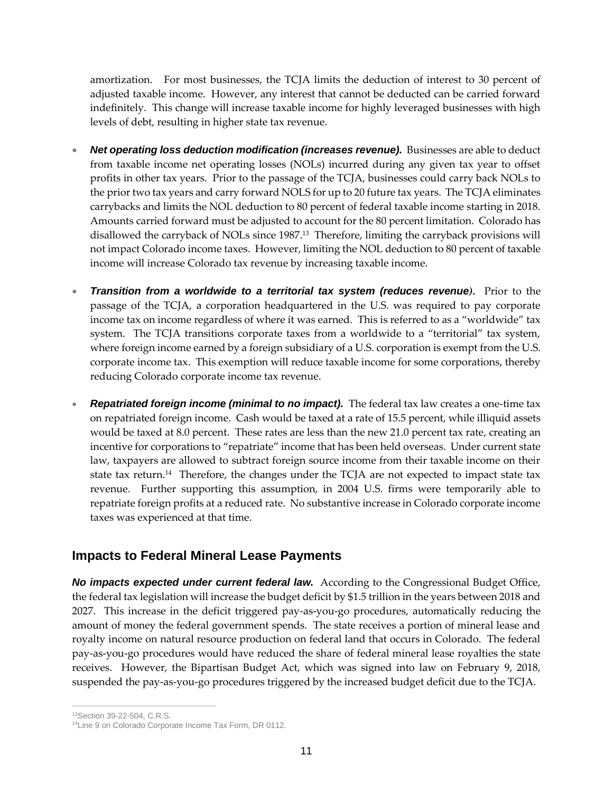amortization. For most businesses, the TCJA limits the deduction of interest to 30 percent of adjusted taxable income. However, any interest that cannot be deducted can be carried forward indefinitely. This change will increase taxable income for highly leveraged businesses with high levels of debt, resulting in higher state tax revenue.

- *Net operating loss deduction modification (increases revenue).* Businesses are able to deduct from taxable income net operating losses (NOLs) incurred during any given tax year to offset profits in other tax years. Prior to the passage of the TCJA, businesses could carry back NOLs to the prior two tax years and carry forward NOLS for up to 20 future tax years. The TCJA eliminates carrybacks and limits the NOL deduction to 80 percent of federal taxable income starting in 2018. Amounts carried forward must be adjusted to account for the 80 percent limitation. Colorado has disallowed the carryback of NOLs since 1987.<sup>13</sup> Therefore, limiting the carryback provisions will not impact Colorado income taxes. However, limiting the NOL deduction to 80 percent of taxable income will increase Colorado tax revenue by increasing taxable income.
- *Transition from a worldwide to a territorial tax system (reduces revenue).* Prior to the passage of the TCJA, a corporation headquartered in the U.S. was required to pay corporate income tax on income regardless of where it was earned. This is referred to as a "worldwide" tax system. The TCJA transitions corporate taxes from a worldwide to a "territorial" tax system, where foreign income earned by a foreign subsidiary of a U.S. corporation is exempt from the U.S. corporate income tax. This exemption will reduce taxable income for some corporations, thereby reducing Colorado corporate income tax revenue.
- *Repatriated foreign income (minimal to no impact).* The federal tax law creates a one-time tax on repatriated foreign income. Cash would be taxed at a rate of 15.5 percent, while illiquid assets would be taxed at 8.0 percent. These rates are less than the new 21.0 percent tax rate, creating an incentive for corporations to "repatriate" income that has been held overseas. Under current state law, taxpayers are allowed to subtract foreign source income from their taxable income on their state tax return.<sup>14</sup> Therefore, the changes under the TCJA are not expected to impact state tax revenue. Further supporting this assumption, in 2004 U.S. firms were temporarily able to repatriate foreign profits at a reduced rate. No substantive increase in Colorado corporate income taxes was experienced at that time.

## **Impacts to Federal Mineral Lease Payments**

*No impacts expected under current federal law.* According to the Congressional Budget Office, the federal tax legislation will increase the budget deficit by \$1.5 trillion in the years between 2018 and 2027. This increase in the deficit triggered pay-as-you-go procedures, automatically reducing the amount of money the federal government spends. The state receives a portion of mineral lease and royalty income on natural resource production on federal land that occurs in Colorado. The federal pay-as-you-go procedures would have reduced the share of federal mineral lease royalties the state receives. However, the Bipartisan Budget Act, which was signed into law on February 9, 2018, suspended the pay-as-you-go procedures triggered by the increased budget deficit due to the TCJA.

 $\overline{a}$ 13Section 39-22-504, C.R.S.

<sup>14</sup>Line 9 on Colorado Corporate Income Tax Form, DR 0112.